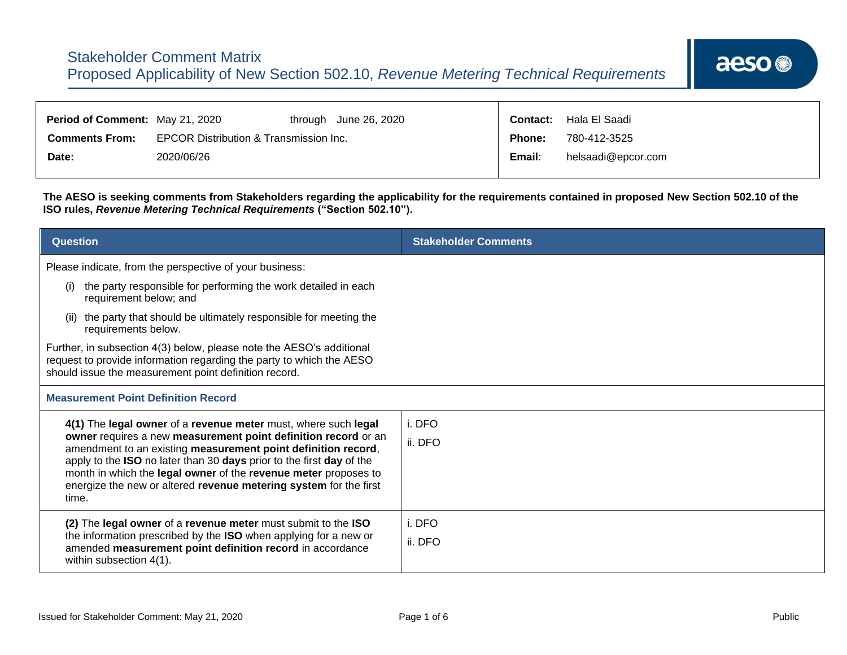| <b>Period of Comment: May 21, 2020</b> |                                        |  | through June 26, 2020 | <b>Contact:</b> | Hala El Saadi      |
|----------------------------------------|----------------------------------------|--|-----------------------|-----------------|--------------------|
| <b>Comments From:</b>                  | EPCOR Distribution & Transmission Inc. |  | Phone:                | 780-412-3525    |                    |
| Date:                                  | 2020/06/26                             |  |                       | Email:          | helsaadi@epcor.com |

**The AESO is seeking comments from Stakeholders regarding the applicability for the requirements contained in proposed New Section 502.10 of the ISO rules,** *Revenue Metering Technical Requirements* **("Section 502.10").**

| <b>Question</b>                                                                                                                                                                                       | <b>Stakeholder Comments</b> |
|-------------------------------------------------------------------------------------------------------------------------------------------------------------------------------------------------------|-----------------------------|
| Please indicate, from the perspective of your business:                                                                                                                                               |                             |
| the party responsible for performing the work detailed in each<br>(i)<br>requirement below; and                                                                                                       |                             |
| the party that should be ultimately responsible for meeting the<br>requirements below.                                                                                                                |                             |
| Further, in subsection 4(3) below, please note the AESO's additional<br>request to provide information regarding the party to which the AESO<br>should issue the measurement point definition record. |                             |
| <b>Measurement Point Definition Record</b>                                                                                                                                                            |                             |
| 4(1) The legal owner of a revenue meter must, where such legal                                                                                                                                        | i. DFO                      |
| owner requires a new measurement point definition record or an<br>amendment to an existing measurement point definition record,                                                                       | ii. DFO                     |
| apply to the ISO no later than 30 days prior to the first day of the<br>month in which the legal owner of the revenue meter proposes to                                                               |                             |
| energize the new or altered revenue metering system for the first<br>time.                                                                                                                            |                             |
| (2) The legal owner of a revenue meter must submit to the ISO                                                                                                                                         | i. DFO                      |
| the information prescribed by the ISO when applying for a new or<br>amended measurement point definition record in accordance<br>within subsection 4(1).                                              | ii. DFO                     |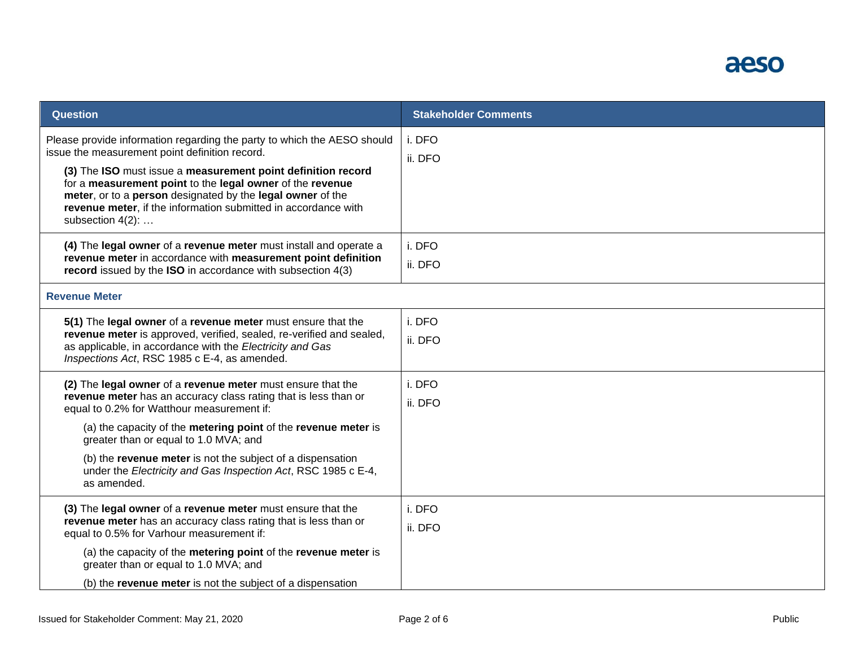

| <b>Question</b>                                                                                                                                                                                                                                                               | <b>Stakeholder Comments</b> |
|-------------------------------------------------------------------------------------------------------------------------------------------------------------------------------------------------------------------------------------------------------------------------------|-----------------------------|
| Please provide information regarding the party to which the AESO should<br>issue the measurement point definition record.                                                                                                                                                     | i. DFO<br>ii. DFO           |
| (3) The ISO must issue a measurement point definition record<br>for a measurement point to the legal owner of the revenue<br>meter, or to a person designated by the legal owner of the<br>revenue meter, if the information submitted in accordance with<br>subsection 4(2): |                             |
| (4) The legal owner of a revenue meter must install and operate a                                                                                                                                                                                                             | i. DFO                      |
| revenue meter in accordance with measurement point definition<br>record issued by the ISO in accordance with subsection 4(3)                                                                                                                                                  | ii. DFO                     |
| <b>Revenue Meter</b>                                                                                                                                                                                                                                                          |                             |
| 5(1) The legal owner of a revenue meter must ensure that the                                                                                                                                                                                                                  | i. DFO                      |
| revenue meter is approved, verified, sealed, re-verified and sealed,<br>as applicable, in accordance with the Electricity and Gas<br>Inspections Act, RSC 1985 c E-4, as amended.                                                                                             | ii. DFO                     |
| (2) The legal owner of a revenue meter must ensure that the                                                                                                                                                                                                                   | i. DFO                      |
| revenue meter has an accuracy class rating that is less than or<br>equal to 0.2% for Watthour measurement if:                                                                                                                                                                 | ii. DFO                     |
| (a) the capacity of the metering point of the revenue meter is<br>greater than or equal to 1.0 MVA; and                                                                                                                                                                       |                             |
| (b) the revenue meter is not the subject of a dispensation<br>under the Electricity and Gas Inspection Act, RSC 1985 c E-4,<br>as amended.                                                                                                                                    |                             |
| (3) The legal owner of a revenue meter must ensure that the                                                                                                                                                                                                                   | i. DFO                      |
| revenue meter has an accuracy class rating that is less than or<br>equal to 0.5% for Varhour measurement if:                                                                                                                                                                  | ii. DFO                     |
| (a) the capacity of the metering point of the revenue meter is<br>greater than or equal to 1.0 MVA; and                                                                                                                                                                       |                             |
| (b) the revenue meter is not the subject of a dispensation                                                                                                                                                                                                                    |                             |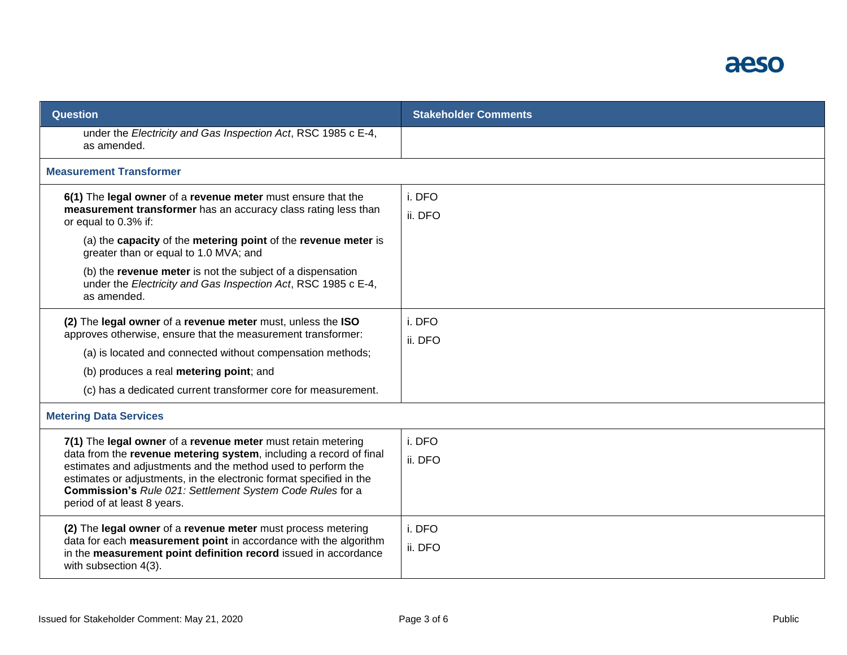

| Question                                                                                                                                                                                                                                                                                                                                                              | <b>Stakeholder Comments</b> |
|-----------------------------------------------------------------------------------------------------------------------------------------------------------------------------------------------------------------------------------------------------------------------------------------------------------------------------------------------------------------------|-----------------------------|
| under the Electricity and Gas Inspection Act, RSC 1985 c E-4,<br>as amended.                                                                                                                                                                                                                                                                                          |                             |
| <b>Measurement Transformer</b>                                                                                                                                                                                                                                                                                                                                        |                             |
| 6(1) The legal owner of a revenue meter must ensure that the<br>measurement transformer has an accuracy class rating less than<br>or equal to 0.3% if:                                                                                                                                                                                                                | i. DFO<br>ii. DFO           |
| (a) the capacity of the metering point of the revenue meter is<br>greater than or equal to 1.0 MVA; and                                                                                                                                                                                                                                                               |                             |
| (b) the revenue meter is not the subject of a dispensation<br>under the Electricity and Gas Inspection Act, RSC 1985 c E-4,<br>as amended.                                                                                                                                                                                                                            |                             |
| (2) The legal owner of a revenue meter must, unless the ISO<br>approves otherwise, ensure that the measurement transformer:<br>(a) is located and connected without compensation methods;<br>(b) produces a real metering point; and                                                                                                                                  | i. DFO<br>ii. DFO           |
| (c) has a dedicated current transformer core for measurement.                                                                                                                                                                                                                                                                                                         |                             |
| <b>Metering Data Services</b>                                                                                                                                                                                                                                                                                                                                         |                             |
| 7(1) The legal owner of a revenue meter must retain metering<br>data from the revenue metering system, including a record of final<br>estimates and adjustments and the method used to perform the<br>estimates or adjustments, in the electronic format specified in the<br>Commission's Rule 021: Settlement System Code Rules for a<br>period of at least 8 years. | i. DFO<br>ii. DFO           |
| (2) The legal owner of a revenue meter must process metering<br>data for each measurement point in accordance with the algorithm<br>in the measurement point definition record issued in accordance<br>with subsection 4(3).                                                                                                                                          | i. DFO<br>ii. DFO           |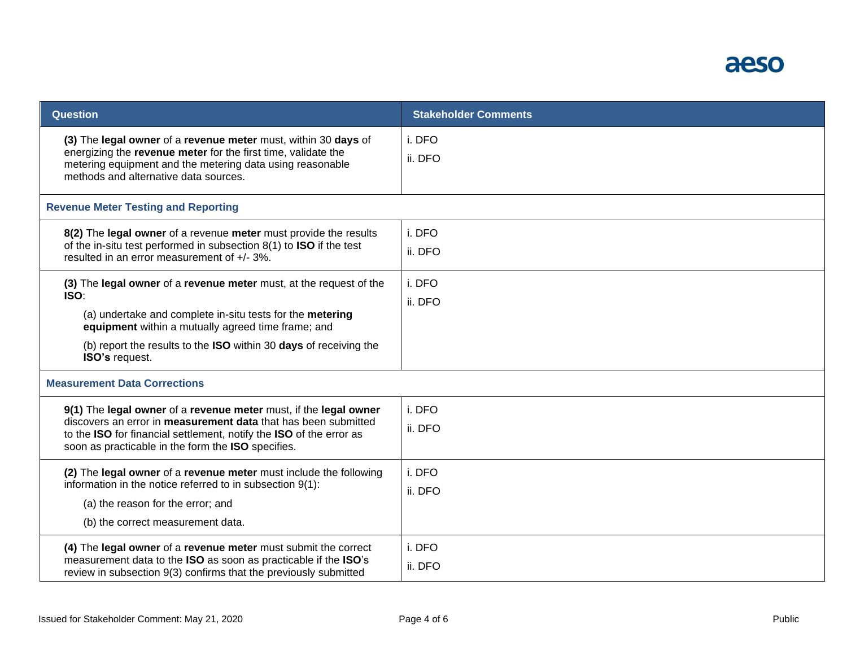

| <b>Question</b>                                                                                                                                                                                                                                                                             | <b>Stakeholder Comments</b> |
|---------------------------------------------------------------------------------------------------------------------------------------------------------------------------------------------------------------------------------------------------------------------------------------------|-----------------------------|
| (3) The legal owner of a revenue meter must, within 30 days of<br>energizing the revenue meter for the first time, validate the<br>metering equipment and the metering data using reasonable<br>methods and alternative data sources.                                                       | i. DFO<br>ii. DFO           |
| <b>Revenue Meter Testing and Reporting</b>                                                                                                                                                                                                                                                  |                             |
| 8(2) The legal owner of a revenue meter must provide the results<br>of the in-situ test performed in subsection 8(1) to ISO if the test<br>resulted in an error measurement of +/- 3%.                                                                                                      | i. DFO<br>ii. DFO           |
| (3) The legal owner of a revenue meter must, at the request of the<br><b>ISO:</b><br>(a) undertake and complete in-situ tests for the metering<br>equipment within a mutually agreed time frame; and<br>(b) report the results to the ISO within 30 days of receiving the<br>ISO's request. | i. DFO<br>ii. DFO           |
| <b>Measurement Data Corrections</b>                                                                                                                                                                                                                                                         |                             |
| 9(1) The legal owner of a revenue meter must, if the legal owner<br>discovers an error in measurement data that has been submitted<br>to the ISO for financial settlement, notify the ISO of the error as<br>soon as practicable in the form the ISO specifies.                             | i. DFO<br>ii. DFO           |
| (2) The legal owner of a revenue meter must include the following<br>information in the notice referred to in subsection 9(1):<br>(a) the reason for the error; and<br>(b) the correct measurement data.                                                                                    | i. DFO<br>ii. DFO           |
| (4) The legal owner of a revenue meter must submit the correct<br>measurement data to the ISO as soon as practicable if the ISO's<br>review in subsection 9(3) confirms that the previously submitted                                                                                       | i. DFO<br>ii. DFO           |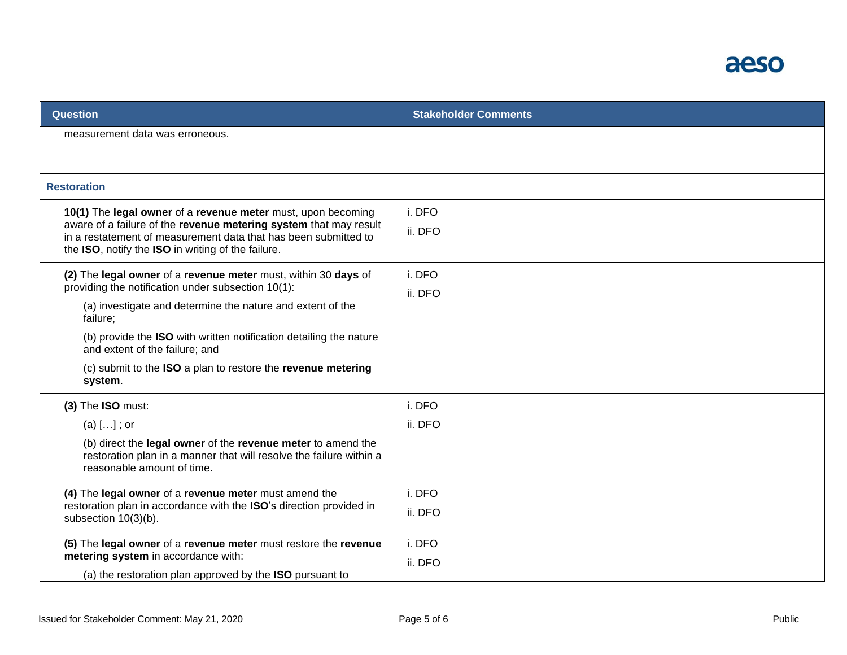

| measurement data was erroneous.                                                                                                                                                                       |  |
|-------------------------------------------------------------------------------------------------------------------------------------------------------------------------------------------------------|--|
|                                                                                                                                                                                                       |  |
|                                                                                                                                                                                                       |  |
| <b>Restoration</b>                                                                                                                                                                                    |  |
| i. DFO<br>10(1) The legal owner of a revenue meter must, upon becoming                                                                                                                                |  |
| aware of a failure of the revenue metering system that may result<br>ii. DFO<br>in a restatement of measurement data that has been submitted to<br>the ISO, notify the ISO in writing of the failure. |  |
| i. DFO<br>(2) The legal owner of a revenue meter must, within 30 days of<br>providing the notification under subsection 10(1):                                                                        |  |
| ii. DFO<br>(a) investigate and determine the nature and extent of the<br>failure;                                                                                                                     |  |
| (b) provide the ISO with written notification detailing the nature<br>and extent of the failure; and                                                                                                  |  |
| (c) submit to the ISO a plan to restore the revenue metering<br>system.                                                                                                                               |  |
| i. DFO<br>(3) The ISO must:                                                                                                                                                                           |  |
| (a) $[]$ ; or<br>ii. DFO                                                                                                                                                                              |  |
| (b) direct the legal owner of the revenue meter to amend the<br>restoration plan in a manner that will resolve the failure within a<br>reasonable amount of time.                                     |  |
| i. DFO<br>(4) The legal owner of a revenue meter must amend the                                                                                                                                       |  |
| restoration plan in accordance with the ISO's direction provided in<br>ii. DFO<br>subsection 10(3)(b).                                                                                                |  |
| i. DFO<br>(5) The legal owner of a revenue meter must restore the revenue                                                                                                                             |  |
| metering system in accordance with:<br>ii. DFO<br>(a) the restoration plan approved by the ISO pursuant to                                                                                            |  |